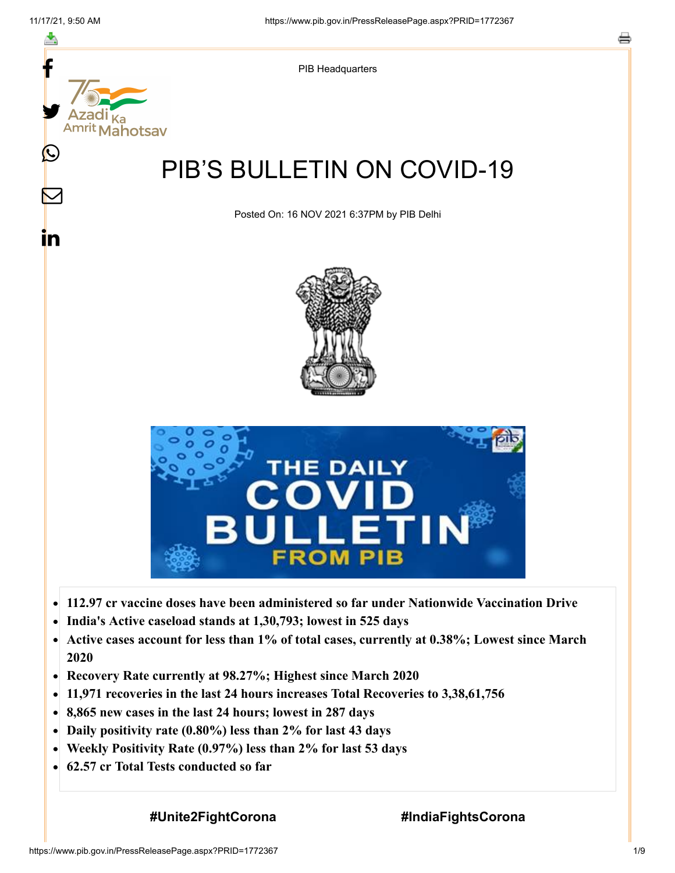f



- 
- **India's Active caseload stands at 1,30,793; lowest in 525 days**  $\bullet$
- **Active cases account for less than 1% of total cases, currently at 0.38%; Lowest since March**  $\bullet$ **2020**
- **Recovery Rate currently at 98.27%; Highest since March 2020**  $\bullet$
- **11,971 recoveries in the last 24 hours increases Total Recoveries to 3,38,61,756**
- **8,865 new cases in the last 24 hours; lowest in 287 days**  $\bullet$
- **Daily positivity rate (0.80%) less than 2% for last 43 days**
- **Weekly Positivity Rate (0.97%) less than 2% for last 53 days**  $\bullet$
- **62.57 cr Total Tests conducted so far**  $\bullet$

**#Unite2FightCorona #IndiaFightsCorona**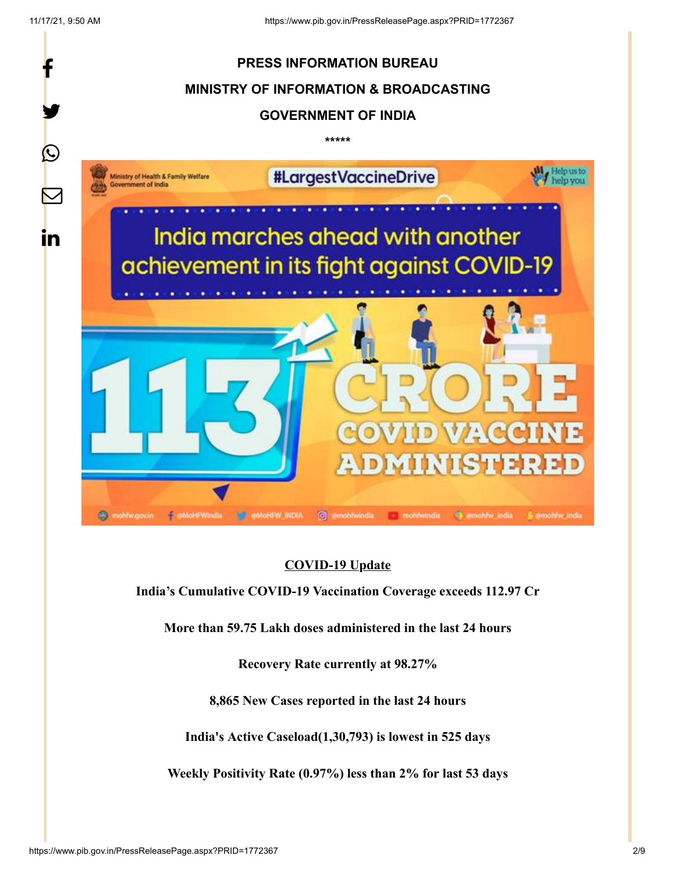

## **COVID-19 Update**

**India's Cumulative COVID-19 Vaccination Coverage exceeds 112.97 Cr**

**More than 59.75 Lakh doses administered in the last 24 hours**

**Recovery Rate currently at 98.27%**

**8,865 New Cases reported in the last 24 hours**

**India's Active Caseload(1,30,793) is lowest in 525 days**

**Weekly Positivity Rate (0.97%) less than 2% for last 53 days**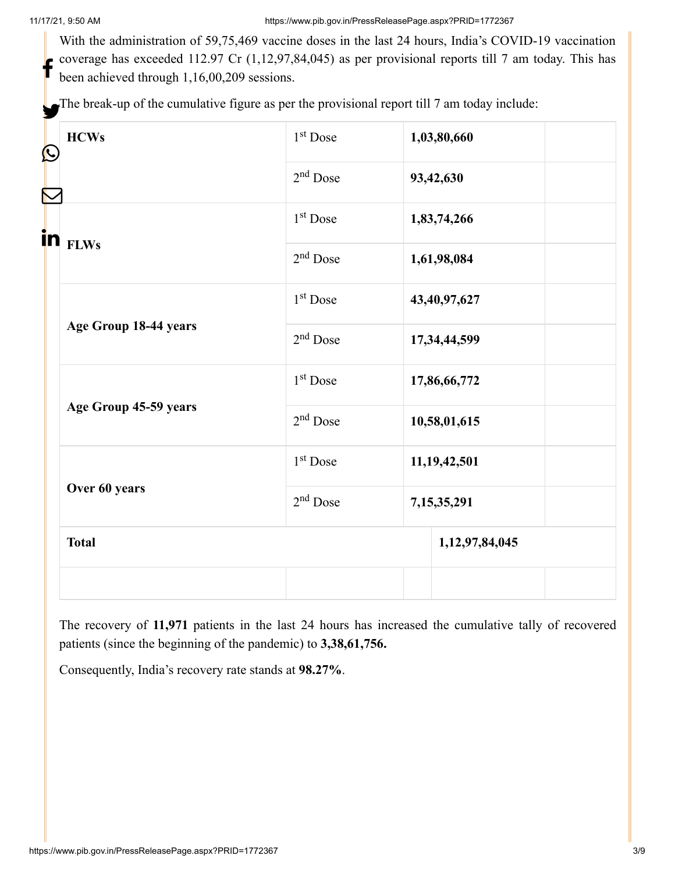With the administration of 59,75,469 vaccine doses in the last 24 hours, India's COVID-19 vaccination coverage has exceeded 112.97 Cr (1,12,97,84,045) as per provisional reports till 7 am today. This has been achieved through 1,16,00,209 sessions. f

The break-up of the cumulative figure as per the provisional report till 7 am today include:

| <b>HCWs</b><br>Ŀ      | $1st$ Dose           | 1,03,80,660     |
|-----------------------|----------------------|-----------------|
|                       | $2nd$ Dose           | 93,42,630       |
| in <sub>FLWs</sub>    | $1st$ Dose           | 1,83,74,266     |
|                       | $2nd$ Dose           | 1,61,98,084     |
| Age Group 18-44 years | $1st$ Dose           | 43,40,97,627    |
|                       | $2nd$ Dose           | 17,34,44,599    |
| Age Group 45-59 years | $1st$ Dose           | 17,86,66,772    |
|                       | $2nd$ Dose           | 10,58,01,615    |
| Over 60 years         | $1st$ Dose           | 11, 19, 42, 501 |
|                       | 2 <sup>nd</sup> Dose | 7,15,35,291     |
| <b>Total</b>          |                      | 1,12,97,84,045  |
|                       |                      |                 |

The recovery of **11,971** patients in the last 24 hours has increased the cumulative tally of recovered patients (since the beginning of the pandemic) to **3,38,61,756.**

Consequently, India's recovery rate stands at **98.27%**.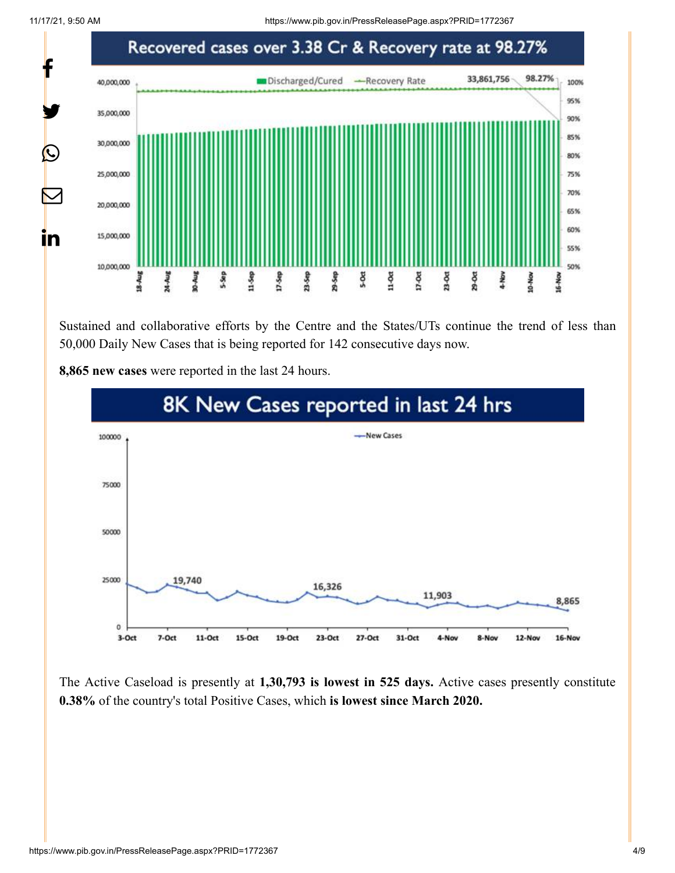11/17/21, 9:50 AM https://www.pib.gov.in/PressReleasePage.aspx?PRID=1772367



Sustained and collaborative efforts by the Centre and the States/UTs continue the trend of less than 50,000 Daily New Cases that is being reported for 142 consecutive days now.



**8,865 new cases** were reported in the last 24 hours.

The Active Caseload is presently at **1,30,793 is lowest in 525 days.** Active cases presently constitute **0.38%** of the country's total Positive Cases, which **is lowest since March 2020.**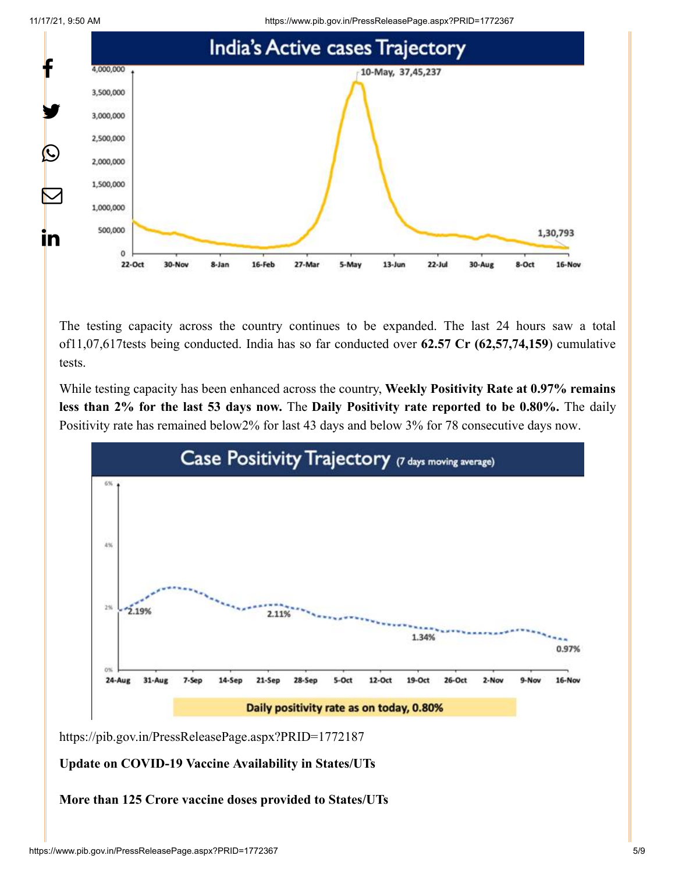11/17/21, 9:50 AM https://www.pib.gov.in/PressReleasePage.aspx?PRID=1772367





The testing capacity across the country continues to be expanded. The last 24 hours saw a total of11,07,617tests being conducted. India has so far conducted over **62.57 Cr (62,57,74,159**) cumulative tests.

While testing capacity has been enhanced across the country, **Weekly Positivity Rate at 0.97% remains less than 2% for the last 53 days now.** The **Daily Positivity rate reported to be 0.80%.** The daily Positivity rate has remained below2% for last 43 days and below 3% for 78 consecutive days now.



<https://pib.gov.in/PressReleasePage.aspx?PRID=1772187>

## **Update on COVID-19 Vaccine Availability in States/UTs**

**More than 125 Crore vaccine doses provided to States/UTs**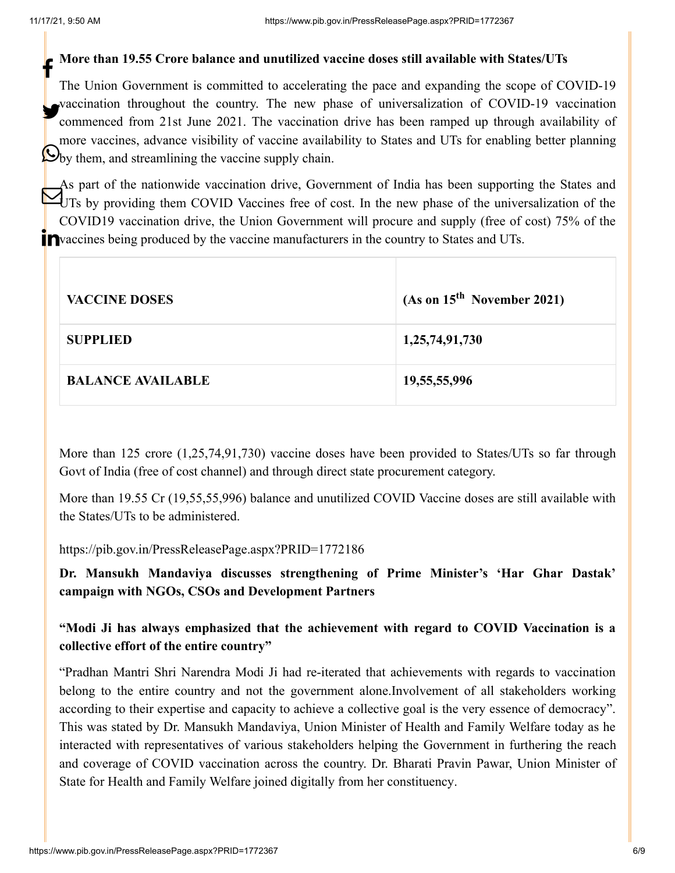## **More than 19.55 Crore balance and unutilized vaccine doses still available with States/UTs** f

The Union Government is committed to accelerating the pace and expanding the scope of COVID-19 vaccination throughout the country. The new phase of universalization of COVID-19 vaccination commenced from 21st June 2021. The vaccination drive has been ramped up through availability of more vaccines, advance visibility of vaccine availability to States and UTs for enabling better planning by them, and streamlining the vaccine supply chain.

As part of the nationwide vaccination drive, Government of India has been supporting the States and UTs by providing them COVID Vaccines free of cost. In the new phase of the universalization of the COVID19 vaccination drive, the Union Government will procure and supply (free of cost) 75% of the Pvaccines being produced by the vaccine manufacturers in the country to States and UTs.

| <b>VACCINE DOSES</b>     | (As on 15 <sup>th</sup> November 2021) |
|--------------------------|----------------------------------------|
| <b>SUPPLIED</b>          | 1,25,74,91,730                         |
| <b>BALANCE AVAILABLE</b> | 19,55,55,996                           |

More than 125 crore (1,25,74,91,730) vaccine doses have been provided to States/UTs so far through Govt of India (free of cost channel) and through direct state procurement category.

More than 19.55 Cr (19,55,55,996) balance and unutilized COVID Vaccine doses are still available with the States/UTs to be administered.

<https://pib.gov.in/PressReleasePage.aspx?PRID=1772186>

**Dr. Mansukh Mandaviya discusses strengthening of Prime Minister's 'Har Ghar Dastak' campaign with NGOs, CSOs and Development Partners**

**"Modi Ji has always emphasized that the achievement with regard to COVID Vaccination is a collective effort of the entire country"**

"Pradhan Mantri Shri Narendra Modi Ji had re-iterated that achievements with regards to vaccination belong to the entire country and not the government alone.Involvement of all stakeholders working according to their expertise and capacity to achieve a collective goal is the very essence of democracy". This was stated by Dr. Mansukh Mandaviya, Union Minister of Health and Family Welfare today as he interacted with representatives of various stakeholders helping the Government in furthering the reach and coverage of COVID vaccination across the country. Dr. Bharati Pravin Pawar, Union Minister of State for Health and Family Welfare joined digitally from her constituency.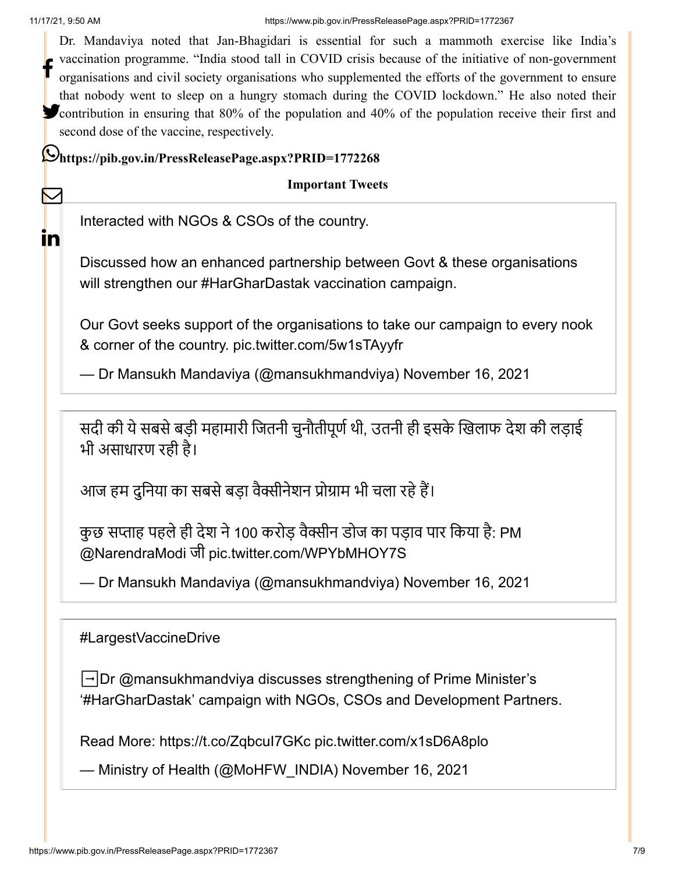∨

 $\mathsf{I}$ 

Dr. Mandaviya noted that Jan-Bhagidari is essential for such a mammoth exercise like India's vaccination programme. "India stood tall in COVID crisis because of the initiative of non-government organisations and civil society organisations who supplemented the efforts of the government to ensure that nobody went to sleep on a hungry stomach during the COVID lockdown." He also noted their **Contribution** in ensuring that 80% of the population and 40% of the population receive their first and second dose of the vaccine, respectively. f

**<https://pib.gov.in/PressReleasePage.aspx?PRID=1772268>**

**Important Tweets**

Interacted with NGOs & CSOs of the country.

Discussed how an enhanced partnership between Govt & these organisations will strengthen our [#HarGharDastak](https://twitter.com/hashtag/HarGharDastak?src=hash&ref_src=twsrc%5Etfw) vaccination campaign.

Our Govt seeks support of the organisations to take our campaign to every nook & corner of the country. [pic.twitter.com/5w1sTAyyfr](https://t.co/5w1sTAyyfr)

— Dr Mansukh Mandaviya (@mansukhmandviya) [November 16, 2021](https://twitter.com/mansukhmandviya/status/1460487076080599044?ref_src=twsrc%5Etfw)

सदी की ये सबसे बड़ी महामारी जितनी चुनौतीपूर्ण थी, उतनी ही इसके खिलाफ देश की लड़ाई भी असाधारण रही है।

आज हम दुनिया का सबसे बड़ा वैक्सीनेशन प्रोग्राम भी चला रहे हैं।

कुछ सप्ताह पहले ही देश ने 100 करोड़ वैक्सीन डोज का पड़ाव पार किया है: PM [@NarendraModi](https://twitter.com/narendramodi?ref_src=twsrc%5Etfw) जी [pic.twitter.com/WPYbMHOY7S](https://t.co/WPYbMHOY7S)

— Dr Mansukh Mandaviya (@mansukhmandviya) [November 16, 2021](https://twitter.com/mansukhmandviya/status/1460494598011113472?ref_src=twsrc%5Etfw)

[#LargestVaccineDrive](https://twitter.com/hashtag/LargestVaccineDrive?src=hash&ref_src=twsrc%5Etfw)

➡️Dr [@mansukhmandviya](https://twitter.com/mansukhmandviya?ref_src=twsrc%5Etfw) discusses strengthening of Prime Minister's '[#HarGharDastak'](https://twitter.com/hashtag/HarGharDastak?src=hash&ref_src=twsrc%5Etfw) campaign with NGOs, CSOs and Development Partners.

Read More:<https://t.co/ZqbcuI7GKc> [pic.twitter.com/x1sD6A8plo](https://t.co/x1sD6A8plo)

— Ministry of Health (@MoHFW\_INDIA) [November 16, 2021](https://twitter.com/MoHFW_INDIA/status/1460537820586516482?ref_src=twsrc%5Etfw)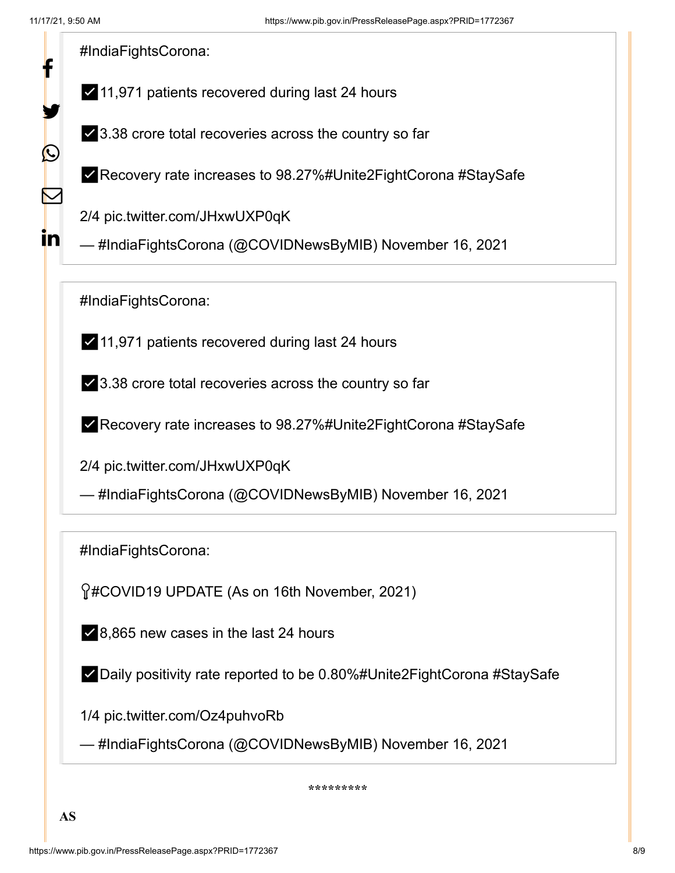f

У.

 $\bigcirc$ 

 $\bf \nabla$ 

in

[#IndiaFightsCorona](https://twitter.com/hashtag/IndiaFightsCorona?src=hash&ref_src=twsrc%5Etfw):

- ✅11,971 patients recovered during last 24 hours
- ✅3.38 crore total recoveries across the country so far

✅Recovery rate increases to 98.27[%#Unite2FightCorona](https://twitter.com/hashtag/Unite2FightCorona?src=hash&ref_src=twsrc%5Etfw) [#StaySafe](https://twitter.com/hashtag/StaySafe?src=hash&ref_src=twsrc%5Etfw)

2/4 [pic.twitter.com/JHxwUXP0qK](https://t.co/JHxwUXP0qK)

— #IndiaFightsCorona (@COVIDNewsByMIB) [November 16, 2021](https://twitter.com/COVIDNewsByMIB/status/1460510001907134470?ref_src=twsrc%5Etfw)

[#IndiaFightsCorona](https://twitter.com/hashtag/IndiaFightsCorona?src=hash&ref_src=twsrc%5Etfw):

✅11,971 patients recovered during last 24 hours

✅3.38 crore total recoveries across the country so far

✅Recovery rate increases to 98.27[%#Unite2FightCorona](https://twitter.com/hashtag/Unite2FightCorona?src=hash&ref_src=twsrc%5Etfw) [#StaySafe](https://twitter.com/hashtag/StaySafe?src=hash&ref_src=twsrc%5Etfw)

2/4 [pic.twitter.com/JHxwUXP0qK](https://t.co/JHxwUXP0qK)

— #IndiaFightsCorona (@COVIDNewsByMIB) [November 16, 2021](https://twitter.com/COVIDNewsByMIB/status/1460510001907134470?ref_src=twsrc%5Etfw)

[#IndiaFightsCorona](https://twitter.com/hashtag/IndiaFightsCorona?src=hash&ref_src=twsrc%5Etfw):

[#COVID19](https://twitter.com/hashtag/COVID19?src=hash&ref_src=twsrc%5Etfw) UPDATE (As on 16th November, 2021)

✅8,865 new cases in the last 24 hours

✅Daily positivity rate reported to be 0.80%[#Unite2FightCorona](https://twitter.com/hashtag/Unite2FightCorona?src=hash&ref_src=twsrc%5Etfw) [#StaySafe](https://twitter.com/hashtag/StaySafe?src=hash&ref_src=twsrc%5Etfw)

1/4 [pic.twitter.com/Oz4puhvoRb](https://t.co/Oz4puhvoRb)

— #IndiaFightsCorona (@COVIDNewsByMIB) [November 16, 2021](https://twitter.com/COVIDNewsByMIB/status/1460509993887690755?ref_src=twsrc%5Etfw)

**\*\*\*\*\*\*\*\*\***